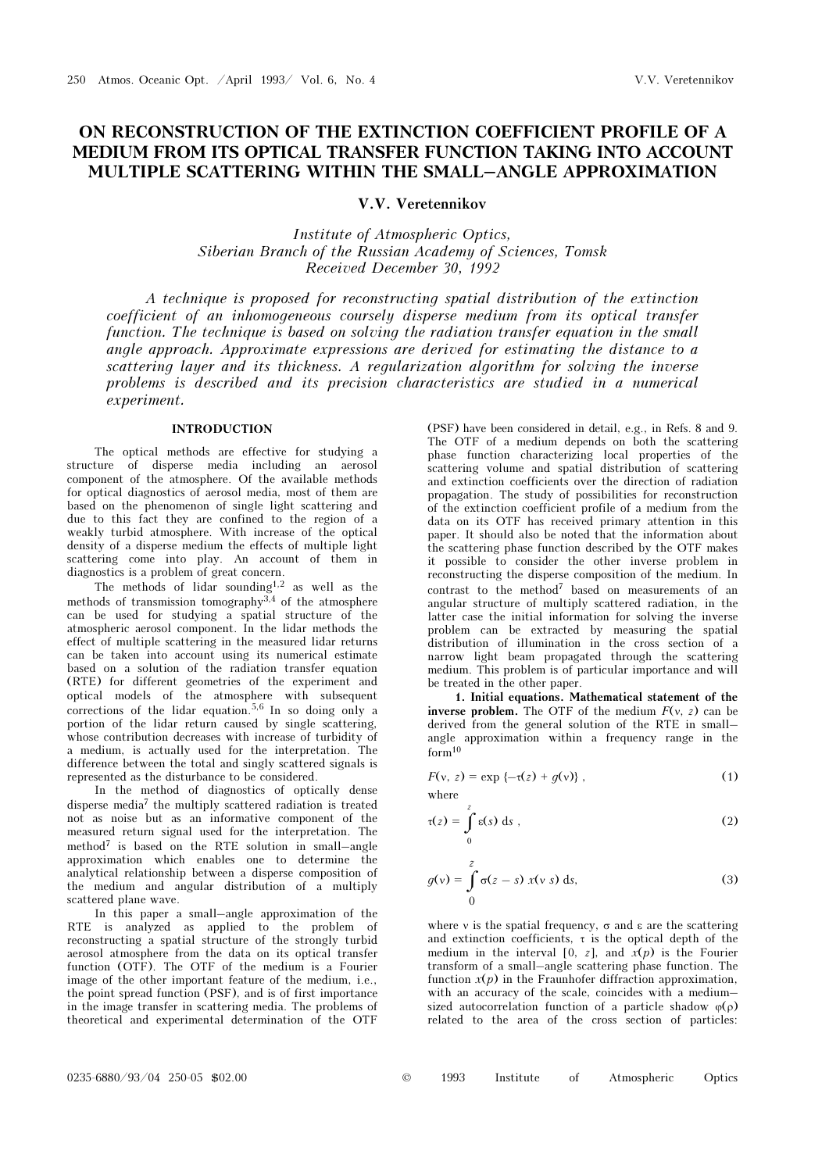# ON RECONSTRUCTION OF THE EXTINCTION COEFFICIENT PROFILE OF A MEDIUM FROM ITS OPTICAL TRANSFER FUNCTION TAKING INTO ACCOUNT MULTIPLE SCATTERING WITHIN THE SMALL–ANGLE APPROXIMATION

## V.V. Veretennikov

Institute of Atmospheric Optics, Siberian Branch of the Russian Academy of Sciences, Tomsk Received December 30, 1992

A technique is proposed for reconstructing spatial distribution of the extinction coefficient of an inhomogeneous coursely disperse medium from its optical transfer function. The technique is based on solving the radiation transfer equation in the small angle approach. Approximate expressions are derived for estimating the distance to a scattering layer and its thickness. A regularization algorithm for solving the inverse problems is described and its precision characteristics are studied in a numerical experiment.

### INTRODUCTION

The optical methods are effective for studying a structure of disperse media including an aerosol component of the atmosphere. Of the available methods for optical diagnostics of aerosol media, most of them are based on the phenomenon of single light scattering and due to this fact they are confined to the region of a weakly turbid atmosphere. With increase of the optical density of a disperse medium the effects of multiple light scattering come into play. An account of them in diagnostics is a problem of great concern.

The methods of lidar sounding<sup>1,2</sup> as well as the methods of transmission tomography<sup>3,4</sup> of the atmosphere can be used for studying a spatial structure of the atmospheric aerosol component. In the lidar methods the effect of multiple scattering in the measured lidar returns can be taken into account using its numerical estimate based on a solution of the radiation transfer equation (RTE) for different geometries of the experiment and optical models of the atmosphere with subsequent corrections of the lidar equation.<sup>5,6</sup> In so doing only a portion of the lidar return caused by single scattering, whose contribution decreases with increase of turbidity of a medium, is actually used for the interpretation. The difference between the total and singly scattered signals is represented as the disturbance to be considered.

In the method of diagnostics of optically dense disperse media7 the multiply scattered radiation is treated not as noise but as an informative component of the measured return signal used for the interpretation. The method<sup>7</sup> is based on the RTE solution in small–angle approximation which enables one to determine the analytical relationship between a disperse composition of the medium and angular distribution of a multiply scattered plane wave.

In this paper a small–angle approximation of the RTE is analyzed as applied to the problem of reconstructing a spatial structure of the strongly turbid aerosol atmosphere from the data on its optical transfer function (OTF). The OTF of the medium is a Fourier image of the other important feature of the medium, i.e., the point spread function (PSF), and is of first importance in the image transfer in scattering media. The problems of theoretical and experimental determination of the OTF

(PSF) have been considered in detail, e.g., in Refs. 8 and 9. The OTF of a medium depends on both the scattering phase function characterizing local properties of the scattering volume and spatial distribution of scattering and extinction coefficients over the direction of radiation propagation. The study of possibilities for reconstruction of the extinction coefficient profile of a medium from the data on its OTF has received primary attention in this paper. It should also be noted that the information about the scattering phase function described by the OTF makes it possible to consider the other inverse problem in reconstructing the disperse composition of the medium. In contrast to the method<sup>7</sup> based on measurements of an angular structure of multiply scattered radiation, in the latter case the initial information for solving the inverse problem can be extracted by measuring the spatial distribution of illumination in the cross section of a narrow light beam propagated through the scattering medium. This problem is of particular importance and will be treated in the other paper.

1. Initial equations. Mathematical statement of the inverse problem. The OTF of the medium  $F(y, z)$  can be derived from the general solution of the RTE in small– angle approximation within a frequency range in the form<sup>10</sup>

$$
F(v, z) = \exp \{-\tau(z) + g(v)\},
$$
 (1)

where

$$
\tau(z) = \int_{0}^{z} \varepsilon(s) \, \mathrm{d}s \;, \tag{2}
$$

$$
g(v) = \int_{0}^{z} \sigma(z - s) x(v s) ds,
$$
 (3)

where v is the spatial frequency,  $\sigma$  and  $\varepsilon$  are the scattering and extinction coefficients,  $\tau$  is the optical depth of the medium in the interval [0, z], and  $x(p)$  is the Fourier transform of a small–angle scattering phase function. The function  $x(p)$  in the Fraunhofer diffraction approximation, with an accuracy of the scale, coincides with a medium– sized autocorrelation function of a particle shadow  $\varphi(\rho)$ related to the area of the cross section of particles:

| $\circledcirc$ | 1993 | Institute | Atmospheric | Optics |
|----------------|------|-----------|-------------|--------|
|                |      |           |             |        |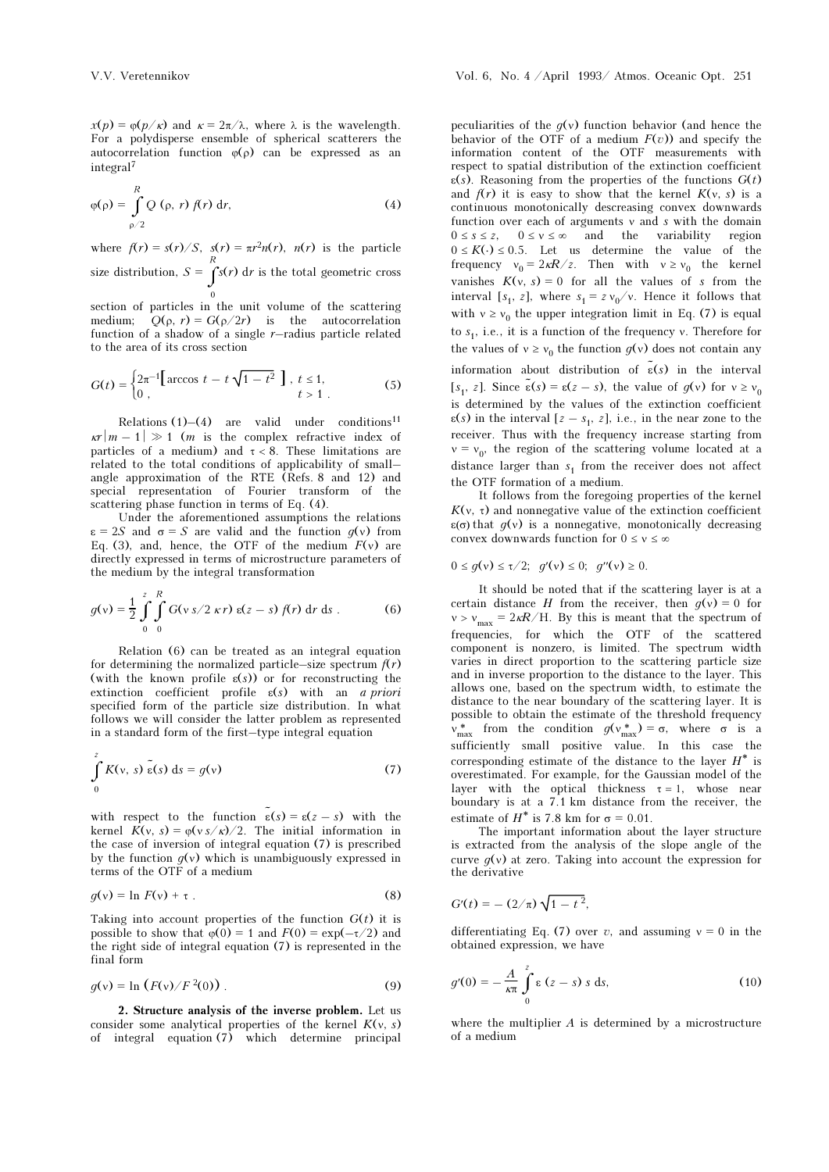$x(p) = \varphi(p/\kappa)$  and  $\kappa = 2\pi/\lambda$ , where  $\lambda$  is the wavelength. For a polydisperse ensemble of spherical scatterers the autocorrelation function  $\varphi(\rho)$  can be expressed as an integral<sup>7</sup>

$$
\varphi(\rho) = \int_{\rho/2}^{R} Q(\rho, r) f(r) dr,
$$
\n(4)

where  $f(r) = s(r)/S$ ,  $s(r) = \pi r^2 n(r)$ ,  $n(r)$  is the particle size distribution,  $S = \int_{0}^{R} s(r) dr$  is the total geometric cross

 $\overline{0}$ section of particles in the unit volume of the scattering medium;  $Q(\rho, r) = G(\rho/2r)$  is the autocorrelation function of a shadow of a single  $r$ -radius particle related to the area of its cross section

$$
G(t) = \begin{cases} 2\pi^{-1} \left[ \arccos t - t\sqrt{1 - t^2} \right], \ t \le 1, \\ 0, \ t > 1. \end{cases}
$$
 (5)

Relations  $(1)$ – $(4)$  are valid under conditions<sup>11</sup>  $\kappa r |m - 1| \gg 1$  (*m* is the complex refractive index of particles of a medium) and  $\tau < 8$ . These limitations are related to the total conditions of applicability of small– angle approximation of the RTE (Refs. 8 and 12) and special representation of Fourier transform of the scattering phase function in terms of Eq. (4).

Under the aforementioned assumptions the relations  $\varepsilon = 2S$  and  $\sigma = S$  are valid and the function  $q(v)$  from Eq. (3), and, hence, the OTF of the medium  $F(v)$  are directly expressed in terms of microstructure parameters of the medium by the integral transformation

$$
g(v) = \frac{1}{2} \int_{0}^{z} \int_{0}^{R} G(v s/2 \kappa r) \epsilon(z - s) f(r) dr ds .
$$
 (6)

Relation (6) can be treated as an integral equation for determining the normalized particle–size spectrum  $f(r)$ (with the known profile  $\varepsilon(s)$ ) or for reconstructing the extinction coefficient profile  $\varepsilon(s)$  with an a priori specified form of the particle size distribution. In what follows we will consider the latter problem as represented in a standard form of the first–type integral equation

$$
\int_{0}^{z} K(v, s) \tilde{\epsilon}(s) ds = g(v)
$$
 (7)

with respect to the function  $\tilde{\epsilon}(s) = \epsilon(z - s)$  with the kernel  $K(v, s) = \varphi(v s / \kappa)/2$ . The initial information in the case of inversion of integral equation (7) is prescribed by the function  $q(v)$  which is unambiguously expressed in terms of the OTF of a medium

$$
g(v) = \ln F(v) + \tau \tag{8}
$$

Taking into account properties of the function  $G(t)$  it is possible to show that  $\varphi(0) = 1$  and  $F(0) = \exp(-\tau/2)$  and the right side of integral equation (7) is represented in the final form

$$
g(v) = \ln (F(v)/F^2(0)).
$$
 (9)

2. Structure analysis of the inverse problem. Let us consider some analytical properties of the kernel  $K(v, s)$ of integral equation (7) which determine principal

peculiarities of the  $q(y)$  function behavior (and hence the behavior of the OTF of a medium  $F(v)$  and specify the information content of the OTF measurements with respect to spatial distribution of the extinction coefficient  $\varepsilon(s)$ . Reasoning from the properties of the functions  $G(t)$ and  $f(r)$  it is easy to show that the kernel  $K(v, s)$  is a continuous monotonically descreasing convex downwards function over each of arguments ν and s with the domain  $0 \le s \le z$ ,  $0 \le v \le \infty$  and the variability region  $0 \le K(\cdot) \le 0.5$ . Let us determine the value of the  $0 \leq K(\cdot) \leq 0.5$ . Let us determine the value of the frequency  $v_0 = 2\kappa R/z$ . Then with  $v \geq v_0$  the kernel vanishes  $K(v, s) = 0$  for all the values of s from the interval [s<sub>1</sub>, z], where  $s_1 = z v_0/v$ . Hence it follows that with  $v \ge v_0$  the upper integration limit in Eq. (7) is equal to  $s_1$ , i.e., it is a function of the frequency v. Therefore for the values of  $v \ge v_0$  the function  $g(v)$  does not contain any information about distribution of  $\tilde{\epsilon}(s)$  in the interval [ $s_1$ , z]. Since  $\tilde{\epsilon}(s) = \epsilon(z - s)$ , the value of  $g(v)$  for  $v \ge v_0$ is determined by the values of the extinction coefficient  $\varepsilon(s)$  in the interval  $[z - s_1, z]$ , i.e., in the near zone to the receiver. Thus with the frequency increase starting from  $v = v_0$ , the region of the scattering volume located at a distance larger than  $s_1$  from the receiver does not affect the OTF formation of a medium.

It follows from the foregoing properties of the kernel  $K(\nu, \tau)$  and nonnegative value of the extinction coefficient  $\varepsilon(\sigma)$  that  $g(v)$  is a nonnegative, monotonically decreasing convex downwards function for  $0 \le v \le \infty$ 

$$
0 \le g(v) \le \tau/2; \ \ g'(v) \le 0; \ \ g''(v) \ge 0.
$$

It should be noted that if the scattering layer is at a certain distance H from the receiver, then  $q(v) = 0$  for  $v > v_{\text{max}} = 2\kappa R / H$ . By this is meant that the spectrum of frequencies, for which the OTF of the scattered component is nonzero, is limited. The spectrum width varies in direct proportion to the scattering particle size and in inverse proportion to the distance to the layer. This allows one, based on the spectrum width, to estimate the distance to the near boundary of the scattering layer. It is possible to obtain the estimate of the threshold frequency  $v_{\text{max}}^*$  from the condition  $g(v_{\text{max}}^*) = \sigma$ , where σ is a sufficiently small positive value. In this case the corresponding estimate of the distance to the layer  $H^*$  is overestimated. For example, for the Gaussian model of the layer with the optical thickness  $\tau = 1$ , whose near boundary is at a 7.1 km distance from the receiver, the estimate of  $H^*$  is 7.8 km for  $\sigma = 0.01$ .

The important information about the layer structure is extracted from the analysis of the slope angle of the curve  $q(v)$  at zero. Taking into account the expression for the derivative

$$
G'(t) = -(2/\pi)\sqrt{1-t^2},
$$

differentiating Eq. (7) over v, and assuming  $v = 0$  in the obtained expression, we have

$$
g'(0) = -\frac{A}{\kappa \pi} \int_{0}^{z} \varepsilon (z - s) s \, ds,\tag{10}
$$

where the multiplier  $A$  is determined by a microstructure of a medium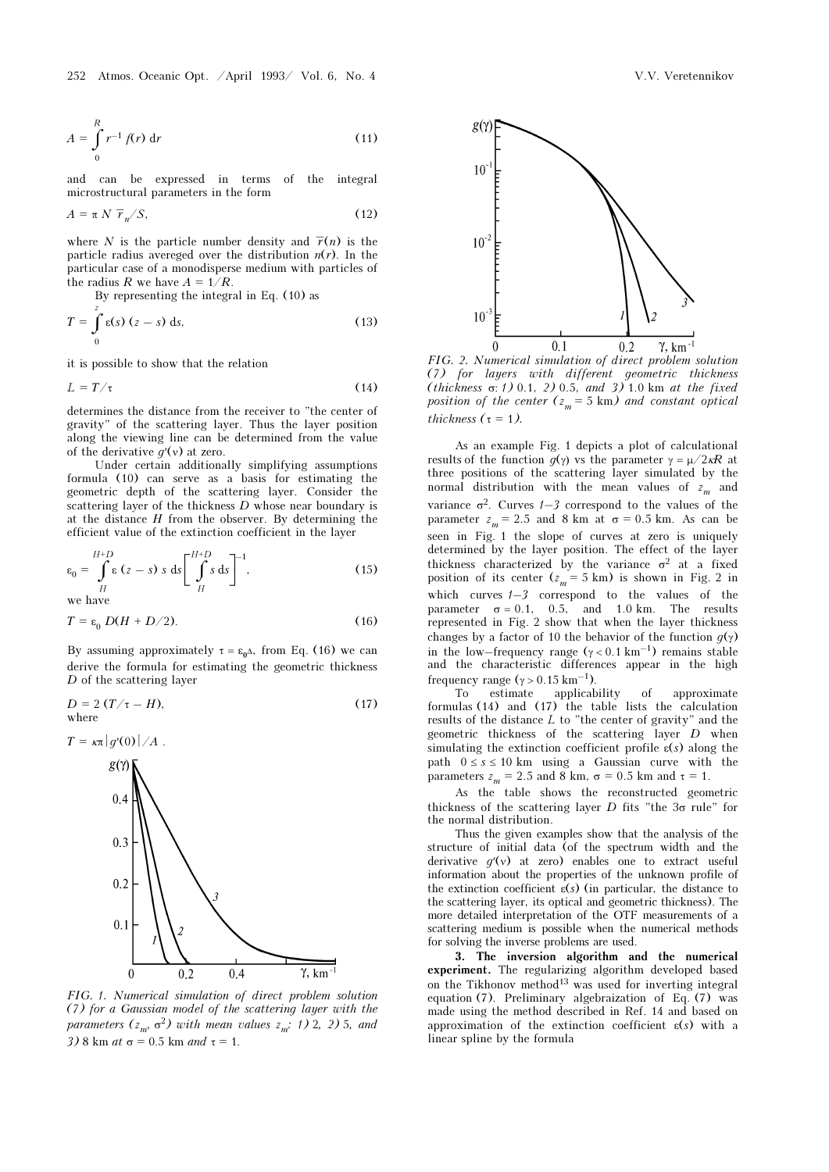252 Atmos. Oceanic Opt. /April 1993/ Vol. 6, No. 4 V.V. Veretennikov

$$
A = \int_{0}^{R} r^{-1} f(r) dr
$$
 (11)

and can be expressed in terms of the integral microstructural parameters in the form

$$
A = \pi N \overline{r}_n / S, \qquad (12)
$$

where N is the particle number density and  $\overline{r}(n)$  is the particle radius avereged over the distribution  $n(r)$ . In the particular case of a monodisperse medium with particles of the radius R we have  $A = 1/R$ .

By representing the integral in Eq. (10) as

$$
T = \int_{0}^{z} \varepsilon(s) (z - s) ds,
$$
 (13)

it is possible to show that the relation

$$
L = T/\tau \tag{14}
$$

determines the distance from the receiver to "the center of gravity" of the scattering layer. Thus the layer position along the viewing line can be determined from the value of the derivative  $q'(v)$  at zero.

Under certain additionally simplifying assumptions formula (10) can serve as a basis for estimating the geometric depth of the scattering layer. Consider the scattering layer of the thickness  $D$  whose near boundary is at the distance  $H$  from the observer. By determining the efficient value of the extinction coefficient in the layer

$$
\varepsilon_0 = \int\limits_H^{H+D} \varepsilon \ (z-s) \ s \ ds \left[ \int\limits_H^{H+D} s \ ds \right]^{-1}, \tag{15}
$$

we have

$$
T = \varepsilon_0 \ D(H + D/2). \tag{16}
$$

By assuming approximately  $\tau = \varepsilon_0 \Delta$ , from Eq. (16) we can derive the formula for estimating the geometric thickness D of the scattering layer

$$
D = 2(T/\tau - H),
$$
 (17) where



FIG. 1. Numerical simulation of direct problem solution (7) for a Gaussian model of the scattering layer with the parameters  $(z_m, \sigma^2)$  with mean values  $z_m$ : 1) 2, 2) 5, and 3) 8 km at  $\sigma$  = 0.5 km and  $\tau$  = 1.



FIG. 2. Numerical simulation of direct problem solution (7) for layers with different geometric thickness (thickness  $\sigma$ : 1) 0.1, 2) 0.5, and 3) 1.0 km at the fixed position of the center  $(z_m = 5 \text{ km})$  and constant optical thickness ( $\tau = 1$ ).

As an example Fig. 1 depicts a plot of calculational results of the function  $g(\gamma)$  vs the parameter  $\gamma = \mu/2\kappa R$  at three positions of the scattering layer simulated by the normal distribution with the mean values of  $z_m$  and variance  $\sigma^2$ . Curves  $1-\sigma^2$  correspond to the values of the parameter  $z_m = 2.5$  and 8 km at  $\sigma = 0.5$  km. As can be seen in Fig. 1 the slope of curves at zero is uniquely determined by the layer position. The effect of the layer thickness characterized by the variance  $\sigma^2$  at a fixed position of its center  $(z_m = 5 \text{ km})$  is shown in Fig. 2 in which curves  $1-3$  correspond to the values of the parameter  $\sigma = 0.1$ , 0.5, and 1.0 km. The results represented in Fig. 2 show that when the layer thickness changes by a factor of 10 the behavior of the function  $q(y)$ in the low–frequency range  $(\gamma < 0.1 \text{ km}^{-1})$  remains stable and the characteristic differences appear in the high frequency range  $(\gamma > 0.15 \text{ km}^{-1})$ .

To estimate applicability of approximate formulas (14) and (17) the table lists the calculation results of the distance  $L$  to "the center of gravity" and the geometric thickness of the scattering layer D when simulating the extinction coefficient profile  $\varepsilon(s)$  along the path  $0 \le s \le 10$  km using a Gaussian curve with the parameters  $z_m = 2.5$  and 8 km,  $\sigma = 0.5$  km and  $\tau = 1$ .

As the table shows the reconstructed geometric thickness of the scattering layer  $D$  fits "the  $3\sigma$  rule" for the normal distribution.

Thus the given examples show that the analysis of the structure of initial data (of the spectrum width and the derivative  $q'(v)$  at zero) enables one to extract useful information about the properties of the unknown profile of the extinction coefficient  $\varepsilon(s)$  (in particular, the distance to the scattering layer, its optical and geometric thickness). The more detailed interpretation of the OTF measurements of a scattering medium is possible when the numerical methods for solving the inverse problems are used.

3. The inversion algorithm and the numerical experiment. The regularizing algorithm developed based on the Tikhonov method<sup>13</sup> was used for inverting integral equation (7). Preliminary algebraization of Eq. (7) was made using the method described in Ref. 14 and based on approximation of the extinction coefficient  $\varepsilon(s)$  with a linear spline by the formula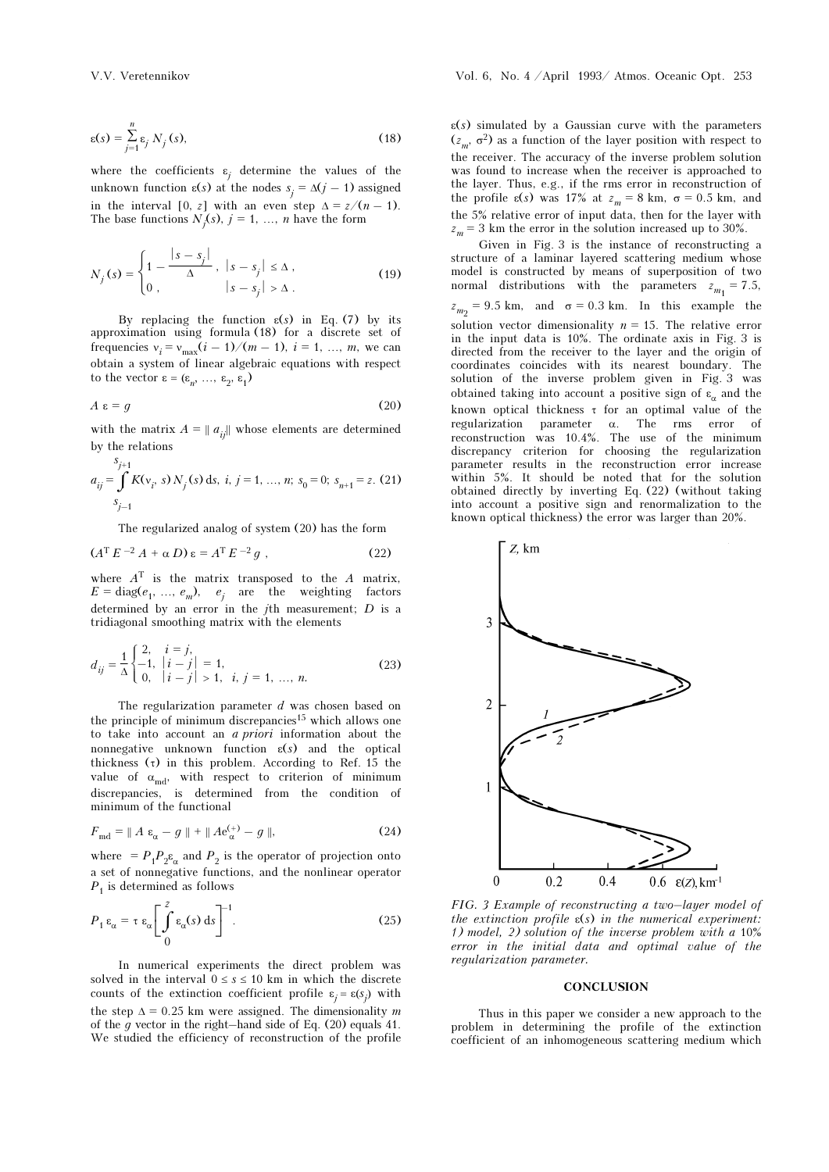$$
\varepsilon(s) = \sum_{j=1}^{n} \varepsilon_j N_j(s),\tag{18}
$$

where the coefficients  $\varepsilon_j$  determine the values of the unknown function  $\varepsilon(s)$  at the nodes  $s_j = \Delta(j-1)$  assigned in the interval [0, z] with an even step  $\Delta = z/(n-1)$ . The base functions  $N_j(s)$ ,  $j = 1, ..., n$  have the form

$$
N_j(s) = \begin{cases} 1 - \frac{|s - s_j|}{\Delta}, & |s - s_j| \le \Delta, \\ 0, & |s - s_j| > \Delta. \end{cases}
$$
(19)

By replacing the function  $\varepsilon(s)$  in Eq. (7) by its approximation using formula (18) for a discrete set of frequencies  $v_i = v_{\text{max}}(i - 1)/(m - 1), i = 1, ..., m$ , we can obtain a system of linear algebraic equations with respect to the vector  $\varepsilon = (\varepsilon_n, \ldots, \varepsilon_2, \varepsilon_1)$ 

$$
A \varepsilon = g \tag{20}
$$

with the matrix  $A = ||a_{ij}||$  whose elements are determined by the relations

$$
a_{ij} = \int_{j-1}^{S_{j+1}} K(v_i, s) N_j(s) ds, i, j = 1, ..., n; s_0 = 0; s_{n+1} = z. (21)
$$

The regularized analog of system (20) has the form

$$
(AT E-2 A + \alpha D) \varepsilon = AT E-2 g , \qquad (22)
$$

where  $A<sup>T</sup>$  is the matrix transposed to the A matrix,  $E = \text{diag}(e_1, \ldots, e_m), \quad e_j$  are the weighting factors determined by an error in the  $j$ th measurement;  $D$  is a tridiagonal smoothing matrix with the elements

$$
d_{ij} = \frac{1}{\Delta} \begin{cases} 2, & i = j, \\ -1, & |i - j| = 1, \\ 0, & |i - j| > 1, \ i, j = 1, \dots, n. \end{cases}
$$
(23)

The regularization parameter  $d$  was chosen based on the principle of minimum discrepancies<sup>15</sup> which allows one to take into account an a priori information about the nonnegative unknown function  $\varepsilon(s)$  and the optical thickness  $(τ)$  in this problem. According to Ref. 15 the value of  $\alpha_{md}$ , with respect to criterion of minimum discrepancies, is determined from the condition of minimum of the functional

$$
F_{\text{md}} = \parallel A \varepsilon_{\alpha} - g \parallel + \parallel A e_{\alpha}^{(+)} - g \parallel, \tag{24}
$$

where  $= P_1 P_2 \varepsilon_\alpha$  and  $P_2$  is the operator of projection onto a set of nonnegative functions, and the nonlinear operator  $P_1$  is determined as follows

$$
P_1 \varepsilon_{\alpha} = \tau \varepsilon_{\alpha} \left[ \int_{0}^{z} \varepsilon_{\alpha}(s) \, \mathrm{d}s \right]^{-1} . \tag{25}
$$

In numerical experiments the direct problem was solved in the interval  $0 \le s \le 10$  km in which the discrete counts of the extinction coefficient profile  $\varepsilon_j = \varepsilon(s_j)$  with the step  $\Delta = 0.25$  km were assigned. The dimensionality m of the  $g$  vector in the right–hand side of Eq. (20) equals 41. We studied the efficiency of reconstruction of the profile

 $\varepsilon(s)$  simulated by a Gaussian curve with the parameters  $(z_m, \sigma^2)$  as a function of the layer position with respect to the receiver. The accuracy of the inverse problem solution was found to increase when the receiver is approached to the layer. Thus, e.g., if the rms error in reconstruction of the profile  $\varepsilon(s)$  was 17% at  $z_m = 8$  km,  $\sigma = 0.5$  km, and the 5% relative error of input data, then for the layer with  $z_m = 3$  km the error in the solution increased up to 30%.

Given in Fig. 3 is the instance of reconstructing a structure of a laminar layered scattering medium whose model is constructed by means of superposition of two normal distributions with the parameters  $z_{m_1} = 7.5$ ,  $z_{m_2}$  = 9.5 km, and  $\sigma$  = 0.3 km. In this example the solution vector dimensionality  $n = 15$ . The relative error in the input data is 10%. The ordinate axis in Fig. 3 is directed from the receiver to the layer and the origin of coordinates coincides with its nearest boundary. The solution of the inverse problem given in Fig. 3 was obtained taking into account a positive sign of  $\varepsilon_n$  and the known optical thickness τ for an optimal value of the regularization parameter α. The rms error of reconstruction was 10.4%. The use of the minimum discrepancy criterion for choosing the regularization parameter results in the reconstruction error increase within 5%. It should be noted that for the solution obtained directly by inverting Eq. (22) (without taking into account a positive sign and renormalization to the known optical thickness) the error was larger than 20%.



FIG. 3 Example of reconstructing a two–layer model of the extinction profile  $\varepsilon(s)$  in the numerical experiment: 1) model, 2) solution of the inverse problem with a 10% error in the initial data and optimal value of the regularization parameter.

#### **CONCLUSION**

Thus in this paper we consider a new approach to the problem in determining the profile of the extinction coefficient of an inhomogeneous scattering medium which